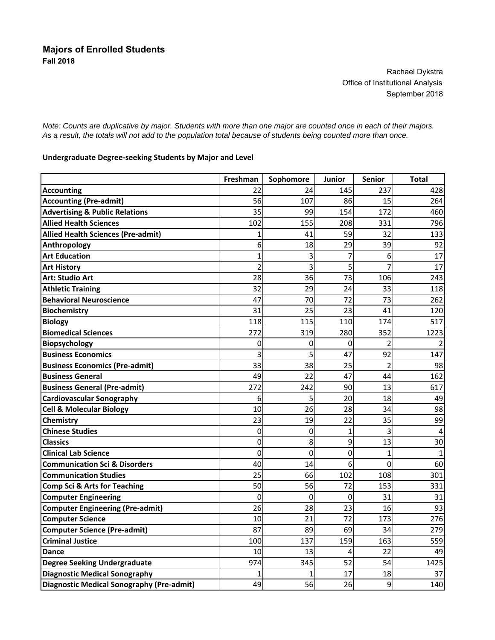Rachael Dykstra Office of Institutional Analysis September 2018

*Note: Counts are duplicative by major. Students with more than one major are counted once in each of their majors. As a result, the totals will not add to the population total because of students being counted more than once.*

## **Undergraduate Degree‐seeking Students by Major and Level**

|                                           | Freshman       | Sophomore      | Junior | <b>Senior</b>  | Total          |
|-------------------------------------------|----------------|----------------|--------|----------------|----------------|
| <b>Accounting</b>                         | 22             | 24             | 145    | 237            | 428            |
| <b>Accounting (Pre-admit)</b>             | 56             | 107            | 86     | 15             | 264            |
| <b>Advertising &amp; Public Relations</b> | 35             | 99             | 154    | 172            | 460            |
| <b>Allied Health Sciences</b>             | 102            | 155            | 208    | 331            | 796            |
| <b>Allied Health Sciences (Pre-admit)</b> | 1              | 41             | 59     | 32             | 133            |
| Anthropology                              | 6              | 18             | 29     | 39             | 92             |
| <b>Art Education</b>                      | $\overline{1}$ | 3              | 7      | 6              | 17             |
| <b>Art History</b>                        | $\overline{2}$ | 3              | 5      | $\overline{7}$ | 17             |
| <b>Art: Studio Art</b>                    | 28             | 36             | 73     | 106            | 243            |
| <b>Athletic Training</b>                  | 32             | 29             | 24     | 33             | 118            |
| <b>Behavioral Neuroscience</b>            | 47             | 70             | 72     | 73             | 262            |
| <b>Biochemistry</b>                       | 31             | 25             | 23     | 41             | 120            |
| <b>Biology</b>                            | 118            | 115            | 110    | 174            | 517            |
| <b>Biomedical Sciences</b>                | 272            | 319            | 280    | 352            | 1223           |
| <b>Biopsychology</b>                      | 0              | 0              | 0      | $\overline{2}$ | $\mathcal{P}$  |
| <b>Business Economics</b>                 | 3              | 5              | 47     | 92             | 147            |
| <b>Business Economics (Pre-admit)</b>     | 33             | 38             | 25     | 2              | 98             |
| <b>Business General</b>                   | 49             | 22             | 47     | 44             | 162            |
| <b>Business General (Pre-admit)</b>       | 272            | 242            | 90     | 13             | 617            |
| <b>Cardiovascular Sonography</b>          | 6              | 5              | 20     | 18             | 49             |
| <b>Cell &amp; Molecular Biology</b>       | 10             | 26             | 28     | 34             | 98             |
| Chemistry                                 | 23             | 19             | 22     | 35             | 99             |
| <b>Chinese Studies</b>                    | 0              | 0              | 1      | 3              | $\overline{4}$ |
| <b>Classics</b>                           | 0              | 8              | 9      | 13             | 30             |
| <b>Clinical Lab Science</b>               | $\mathbf 0$    | 0              | 0      | 1              | 1              |
| <b>Communication Sci &amp; Disorders</b>  | 40             | 14             | 6      | $\mathbf 0$    | 60             |
| <b>Communication Studies</b>              | 25             | 66             | 102    | 108            | 301            |
| <b>Comp Sci &amp; Arts for Teaching</b>   | 50             | 56             | 72     | 153            | 331            |
| <b>Computer Engineering</b>               | $\overline{0}$ | $\overline{0}$ | 0      | 31             | 31             |
| <b>Computer Engineering (Pre-admit)</b>   | 26             | 28             | 23     | 16             | 93             |
| <b>Computer Science</b>                   | 10             | 21             | 72     | 173            | 276            |
| <b>Computer Science (Pre-admit)</b>       | 87             | 89             | 69     | 34             | 279            |
| <b>Criminal Justice</b>                   | 100            | 137            | 159    | 163            | 559            |
| <b>Dance</b>                              | 10             | 13             | 4      | 22             | 49             |
| <b>Degree Seeking Undergraduate</b>       | 974            | 345            | 52     | 54             | 1425           |
| <b>Diagnostic Medical Sonography</b>      | 1              |                | 17     | 18             | 37             |
| Diagnostic Medical Sonography (Pre-admit) | 49             | 56             | 26     | 9              | 140            |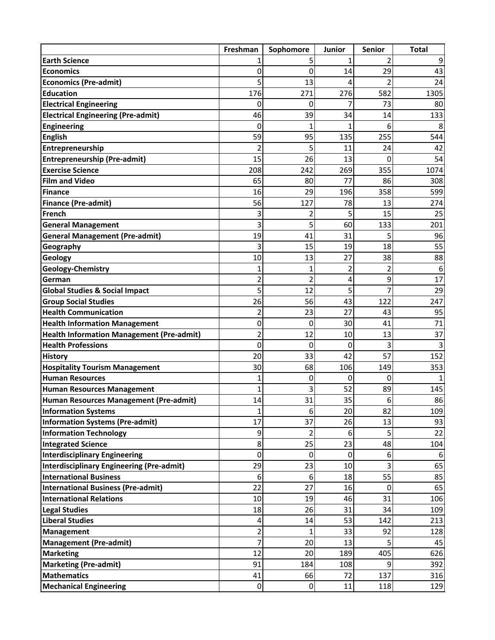|                                                  | Freshman       | Sophomore   | Junior | <b>Senior</b> | <b>Total</b> |
|--------------------------------------------------|----------------|-------------|--------|---------------|--------------|
| <b>Earth Science</b>                             |                | 5           | 1      |               | 9            |
| <b>Economics</b>                                 | 0              | 0           | 14     | 29            | 43           |
| <b>Economics (Pre-admit)</b>                     | 5              | 13          | 4      | $\mathcal{P}$ | 24           |
| <b>Education</b>                                 | 176            | 271         | 276    | 582           | 1305         |
| <b>Electrical Engineering</b>                    | 0              | 0           | 7      | 73            | 80           |
| <b>Electrical Engineering (Pre-admit)</b>        | 46             | 39          | 34     | 14            | 133          |
| Engineering                                      | 0              | 1           |        | 6             |              |
| <b>English</b>                                   | 59             | 95          | 135    | 255           | 544          |
| Entrepreneurship                                 | 2              | 5           | 11     | 24            | 42           |
| <b>Entrepreneurship (Pre-admit)</b>              | 15             | 26          | 13     | 0             | 54           |
| <b>Exercise Science</b>                          | 208            | 242         | 269    | 355           | 1074         |
| <b>Film and Video</b>                            | 65             | 80          | 77     | 86            | 308          |
| Finance                                          | 16             | 29          | 196    | 358           | 599          |
| <b>Finance (Pre-admit)</b>                       | 56             | 127         | 78     | 13            | 274          |
| French                                           | 3              | 2           | 5      | 15            | 25           |
| <b>General Management</b>                        | 3              | 5           | 60     | 133           | 201          |
| <b>General Management (Pre-admit)</b>            | 19             | 41          | 31     | 5             | 96           |
| Geography                                        | 3              | 15          | 19     | 18            | 55           |
| Geology                                          | 10             | 13          | 27     | 38            | 88           |
| Geology-Chemistry                                | 1              | 1           | 2      | 2             | 6            |
| German                                           | 2              | 2           | 4      | 9             | 17           |
| <b>Global Studies &amp; Social Impact</b>        | 5              | 12          | 5      | 7             | 29           |
| <b>Group Social Studies</b>                      | 26             | 56          | 43     | 122           | 247          |
| <b>Health Communication</b>                      | 2              | 23          | 27     | 43            | 95           |
| <b>Health Information Management</b>             | 0              | 0           | 30     | 41            | 71           |
| <b>Health Information Management (Pre-admit)</b> | $\overline{2}$ | 12          | 10     | 13            | 37           |
| <b>Health Professions</b>                        | 0              | 0           | 0      | 3             |              |
| <b>History</b>                                   | 20             | 33          | 42     | 57            | 152          |
| <b>Hospitality Tourism Management</b>            | 30             | 68          | 106    | 149           | 353          |
| <b>Human Resources</b>                           | 1              | 0           | 0      | 0             |              |
| <b>Human Resources Management</b>                | $\overline{1}$ | 3           | 52     | 89            | 145          |
| Human Resources Management (Pre-admit)           | 14             | 31          | 35     | 6             | 86           |
| <b>Information Systems</b>                       | 1              | $6 \mid$    | 20     | 82            | 109          |
| <b>Information Systems (Pre-admit)</b>           | 17             | 37          | 26     | 13            | 93           |
| <b>Information Technology</b>                    | 9              | 2           | 6      | 5             | 22           |
| <b>Integrated Science</b>                        | 8              | 25          | 23     | 48            | 104          |
| Interdisciplinary Engineering                    | 0              | 0           | 0      | 6             |              |
| Interdisciplinary Engineering (Pre-admit)        | 29             | 23          | 10     | 3             | 65           |
| <b>International Business</b>                    | 6              | 6           | 18     | 55            | 85           |
| International Business (Pre-admit)               | 22             | 27          | 16     | 0             | 65           |
| <b>International Relations</b>                   | 10             | 19          | 46     | 31            | 106          |
| <b>Legal Studies</b>                             | 18             | 26          | 31     | 34            | 109          |
| <b>Liberal Studies</b>                           | 4              | 14          | 53     | 142           | 213          |
| <b>Management</b>                                | 2              | 1           | 33     | 92            | 128          |
| <b>Management (Pre-admit)</b>                    | 7              | 20          | 13     | 5             | 45           |
| <b>Marketing</b>                                 | 12             | 20          | 189    | 405           | 626          |
| <b>Marketing (Pre-admit)</b>                     | 91             | 184         | 108    | 9             | 392          |
| <b>Mathematics</b>                               | 41             | 66          | 72     | 137           | 316          |
| <b>Mechanical Engineering</b>                    | $\pmb{0}$      | $\mathbf 0$ | 11     | 118           | 129          |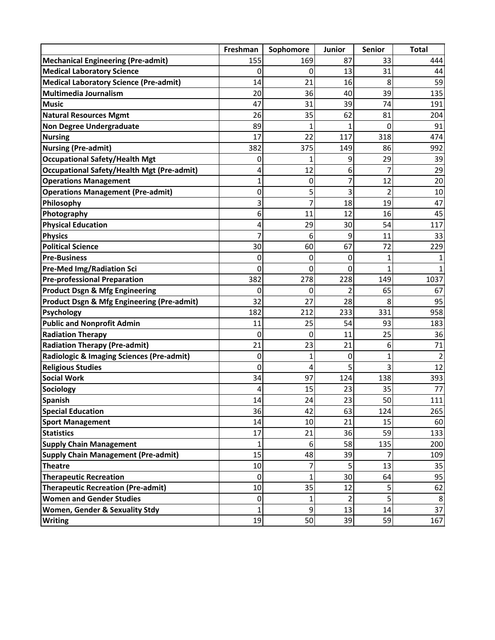|                                                       | Freshman     | Sophomore | Junior         | <b>Senior</b>  | <b>Total</b>   |
|-------------------------------------------------------|--------------|-----------|----------------|----------------|----------------|
| <b>Mechanical Engineering (Pre-admit)</b>             | 155          | 169       | 87             | 33             | 444            |
| <b>Medical Laboratory Science</b>                     | 0            | 0         | 13             | 31             | 44             |
| <b>Medical Laboratory Science (Pre-admit)</b>         | 14           | 21        | 16             | 8              | 59             |
| <b>Multimedia Journalism</b>                          | 20           | 36        | 40             | 39             | 135            |
| <b>Music</b>                                          | 47           | 31        | 39             | 74             | 191            |
| <b>Natural Resources Mgmt</b>                         | 26           | 35        | 62             | 81             | 204            |
| <b>Non Degree Undergraduate</b>                       | 89           | 1         | 1              | 0              | 91             |
| <b>Nursing</b>                                        | 17           | 22        | 117            | 318            | 474            |
| <b>Nursing (Pre-admit)</b>                            | 382          | 375       | 149            | 86             | 992            |
| <b>Occupational Safety/Health Mgt</b>                 | 0            |           | 9              | 29             | 39             |
| <b>Occupational Safety/Health Mgt (Pre-admit)</b>     | 4            | 12        | 6              | 7              | 29             |
| <b>Operations Management</b>                          | 1            | 0         |                | 12             | 20             |
| <b>Operations Management (Pre-admit)</b>              | 0            | 5         | 3              | 2              | 10             |
| Philosophy                                            | 3            | 7         | 18             | 19             | 47             |
| Photography                                           | 6            | 11        | 12             | 16             | 45             |
| <b>Physical Education</b>                             | 4            | 29        | 30             | 54             | 117            |
| <b>Physics</b>                                        | 7            | 6         | 9              | 11             | 33             |
| <b>Political Science</b>                              | 30           | 60        | 67             | 72             | 229            |
| <b>Pre-Business</b>                                   | 0            | 0         | 0              | 1              |                |
| <b>Pre-Med Img/Radiation Sci</b>                      | 0            | 0         | 0              | $\overline{1}$ |                |
| <b>Pre-professional Preparation</b>                   | 382          | 278       | 228            | 149            | 1037           |
| <b>Product Dsgn &amp; Mfg Engineering</b>             | 0            | 0         | 2              | 65             | 67             |
| <b>Product Dsgn &amp; Mfg Engineering (Pre-admit)</b> | 32           | 27        | 28             | 8              | 95             |
| <b>Psychology</b>                                     | 182          | 212       | 233            | 331            | 958            |
| <b>Public and Nonprofit Admin</b>                     | 11           | 25        | 54             | 93             | 183            |
| <b>Radiation Therapy</b>                              | 0            | 0         | 11             | 25             | 36             |
| <b>Radiation Therapy (Pre-admit)</b>                  | 21           | 23        | 21             | 6              | 71             |
| Radiologic & Imaging Sciences (Pre-admit)             | 0            | 1         | 0              | 1              | $\overline{2}$ |
| <b>Religious Studies</b>                              | 0            | 4         | 5              | 3              | 12             |
| <b>Social Work</b>                                    | 34           | 97        | 124            | 138            | 393            |
| Sociology                                             | 4            | 15        | 23             | 35             | 77             |
| <b>Spanish</b>                                        | 14           | 24        | 23             | 50             | 111            |
| <b>Special Education</b>                              | 36           | 42        | 63             | 124            | 265            |
| <b>Sport Management</b>                               | 14           | 10        | 21             | 15             | 60             |
| <b>Statistics</b>                                     | 17           | 21        | 36             | 59             | 133            |
| <b>Supply Chain Management</b>                        | $\mathbf{1}$ | 6         | 58             | 135            | 200            |
| <b>Supply Chain Management (Pre-admit)</b>            | 15           | 48        | 39             | 7              | 109            |
| <b>Theatre</b>                                        | 10           | 7         | 5 <sup>1</sup> | 13             | 35             |
| <b>Therapeutic Recreation</b>                         | 0            | 1         | 30             | 64             | 95             |
| <b>Therapeutic Recreation (Pre-admit)</b>             | 10           | 35        | 12             | 5              | 62             |
| <b>Women and Gender Studies</b>                       | $\pmb{0}$    | 1         | $\overline{2}$ | 5              | 8              |
| Women, Gender & Sexuality Stdy                        | $\mathbf{1}$ | 9         | 13             | 14             | 37             |
| <b>Writing</b>                                        | 19           | 50        | 39             | 59             | 167            |